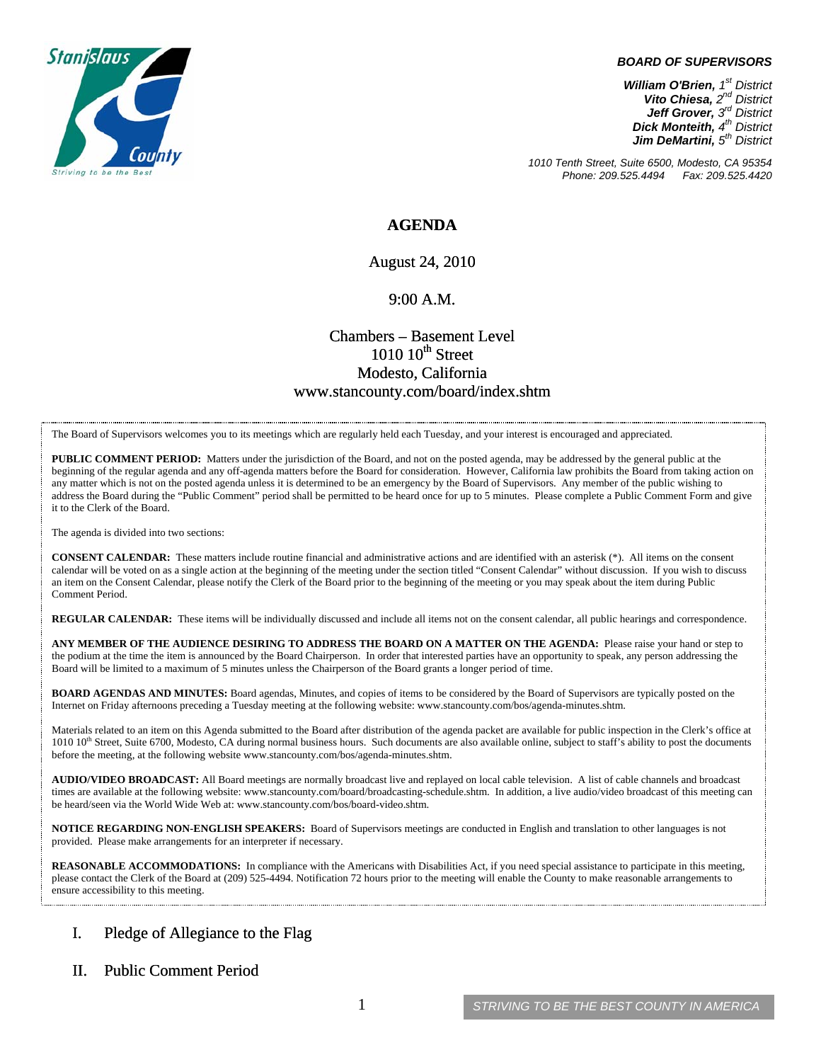

#### *BOARD OF SUPERVISORS*

*William O'Brien, 1st District Vito Chiesa, 2nd District Jeff Grover, 3rd District Dick Monteith, 4th District Jim DeMartini, 5th District*

*1010 Tenth Street, Suite 6500, Modesto, CA 95354 Phone: 209.525.4494 Fax: 209.525.4420* 

### **AGENDA**

August 24, 2010

#### 9:00 A.M.

## Chambers – Basement Level  $1010~10$ <sup>th</sup> Street Modesto, California www.stancounty.com/board/index.shtm

The Board of Supervisors welcomes you to its meetings which are regularly held each Tuesday, and your interest is encouraged and appreciated.

**PUBLIC COMMENT PERIOD:** Matters under the jurisdiction of the Board, and not on the posted agenda, may be addressed by the general public at the beginning of the regular agenda and any off-agenda matters before the Board for consideration. However, California law prohibits the Board from taking action on any matter which is not on the posted agenda unless it is determined to be an emergency by the Board of Supervisors. Any member of the public wishing to address the Board during the "Public Comment" period shall be permitted to be heard once for up to 5 minutes. Please complete a Public Comment Form and give it to the Clerk of the Board.

The agenda is divided into two sections:

**CONSENT CALENDAR:** These matters include routine financial and administrative actions and are identified with an asterisk (\*). All items on the consent calendar will be voted on as a single action at the beginning of the meeting under the section titled "Consent Calendar" without discussion. If you wish to discuss an item on the Consent Calendar, please notify the Clerk of the Board prior to the beginning of the meeting or you may speak about the item during Public Comment Period.

**REGULAR CALENDAR:** These items will be individually discussed and include all items not on the consent calendar, all public hearings and correspondence.

**ANY MEMBER OF THE AUDIENCE DESIRING TO ADDRESS THE BOARD ON A MATTER ON THE AGENDA:** Please raise your hand or step to the podium at the time the item is announced by the Board Chairperson. In order that interested parties have an opportunity to speak, any person addressing the Board will be limited to a maximum of 5 minutes unless the Chairperson of the Board grants a longer period of time.

**BOARD AGENDAS AND MINUTES:** Board agendas, Minutes, and copies of items to be considered by the Board of Supervisors are typically posted on the Internet on Friday afternoons preceding a Tuesday meeting at the following website: www.stancounty.com/bos/agenda-minutes.shtm.

Materials related to an item on this Agenda submitted to the Board after distribution of the agenda packet are available for public inspection in the Clerk's office at 1010 10<sup>th</sup> Street, Suite 6700, Modesto, CA during normal business hours. Such documents are also available online, subject to staff's ability to post the documents before the meeting, at the following website www.stancounty.com/bos/agenda-minutes.shtm.

**AUDIO/VIDEO BROADCAST:** All Board meetings are normally broadcast live and replayed on local cable television. A list of cable channels and broadcast times are available at the following website: www.stancounty.com/board/broadcasting-schedule.shtm. In addition, a live audio/video broadcast of this meeting can be heard/seen via the World Wide Web at: www.stancounty.com/bos/board-video.shtm.

**NOTICE REGARDING NON-ENGLISH SPEAKERS:** Board of Supervisors meetings are conducted in English and translation to other languages is not provided. Please make arrangements for an interpreter if necessary.

**REASONABLE ACCOMMODATIONS:** In compliance with the Americans with Disabilities Act, if you need special assistance to participate in this meeting, please contact the Clerk of the Board at (209) 525-4494. Notification 72 hours prior to the meeting will enable the County to make reasonable arrangements to ensure accessibility to this meeting.

### I. Pledge of Allegiance to the Flag

#### II. Public Comment Period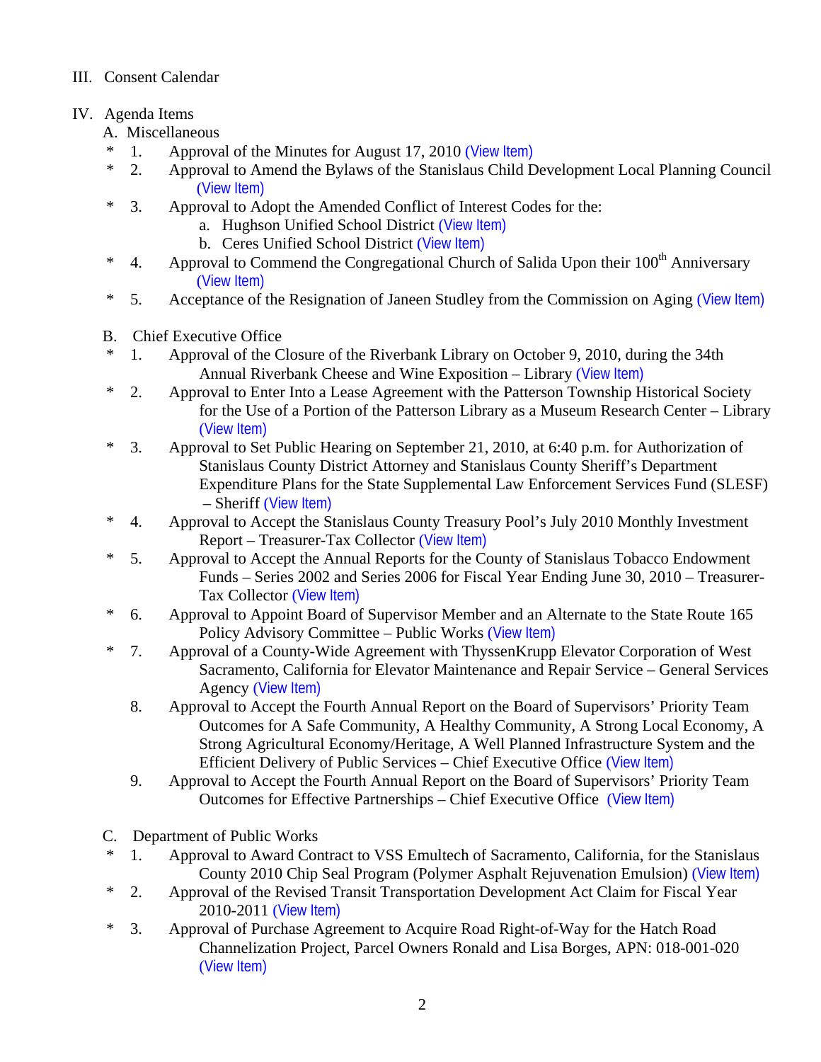## III. Consent Calendar

# IV. Agenda Items

- A. Miscellaneous
- \* 1. Approval of the Minutes for August 17, 2010 ([View Item\)](http://www.stancounty.com/bos/minutes/2010/min08-17-10.pdf)
- \* 2. Approval to Amend the Bylaws of the Stanislaus Child Development Local Planning Council ([View Item\)](http://www.stancounty.com/bos/agenda/2010/20100824/A02.pdf)
- \* 3. Approval to Adopt the Amended Conflict of Interest Codes for the:
	- a. Hughson Unified School District ([View Item\)](http://www.stancounty.com/bos/agenda/2010/20100824/A03a.pdf)
	- b. Ceres Unified School District ([View Item\)](http://www.stancounty.com/bos/agenda/2010/20100824/A03b.pdf)
- <sup>\*</sup> 4. Approval to Commend the Congregational Church of Salida Upon their  $100<sup>th</sup>$  Anniversary ([View Item\)](http://www.stancounty.com/bos/agenda/2010/20100824/A04.pdf)
- \* 5. Acceptance of the Resignation of Janeen Studley from the Commission on Aging ([View Item\)](http://www.stancounty.com/bos/agenda/2010/20100824/A05.pdf)
- B. Chief Executive Office
- 1. Approval of the Closure of the Riverbank Library on October 9, 2010, during the 34th Annual Riverbank Cheese and Wine Exposition – Library ([View Item\)](http://www.stancounty.com/bos/agenda/2010/20100824/B01.pdf)
- \* 2. Approval to Enter Into a Lease Agreement with the Patterson Township Historical Society for the Use of a Portion of the Patterson Library as a Museum Research Center – Library ([View Item\)](http://www.stancounty.com/bos/agenda/2010/20100824/B02.pdf)
- \* 3. Approval to Set Public Hearing on September 21, 2010, at 6:40 p.m. for Authorization of Stanislaus County District Attorney and Stanislaus County Sheriff's Department Expenditure Plans for the State Supplemental Law Enforcement Services Fund (SLESF) – Sheriff ([View Item\)](http://www.stancounty.com/bos/agenda/2010/20100824/B03.pdf)
- \* 4. Approval to Accept the Stanislaus County Treasury Pool's July 2010 Monthly Investment Report – Treasurer-Tax Collector ([View Item\)](http://www.stancounty.com/bos/agenda/2010/20100824/B04.pdf)
- \* 5. Approval to Accept the Annual Reports for the County of Stanislaus Tobacco Endowment Funds – Series 2002 and Series 2006 for Fiscal Year Ending June 30, 2010 – Treasurer-Tax Collector ([View Item\)](http://www.stancounty.com/bos/agenda/2010/20100824/B05.pdf)
- \* 6. Approval to Appoint Board of Supervisor Member and an Alternate to the State Route 165 Policy Advisory Committee – Public Works ([View Item\)](http://www.stancounty.com/bos/agenda/2010/20100824/B06.pdf)
- \* 7. Approval of a County-Wide Agreement with ThyssenKrupp Elevator Corporation of West Sacramento, California for Elevator Maintenance and Repair Service – General Services Agency ([View Item\)](http://www.stancounty.com/bos/agenda/2010/20100824/B07.pdf)
	- 8. Approval to Accept the Fourth Annual Report on the Board of Supervisors' Priority Team Outcomes for A Safe Community, A Healthy Community, A Strong Local Economy, A Strong Agricultural Economy/Heritage, A Well Planned Infrastructure System and the Efficient Delivery of Public Services – Chief Executive Office ([View Item\)](http://www.stancounty.com/bos/agenda/2010/20100824/B08.pdf)
	- 9. Approval to Accept the Fourth Annual Report on the Board of Supervisors' Priority Team Outcomes for Effective Partnerships – Chief Executive Office ([View Item\)](http://www.stancounty.com/bos/agenda/2010/20100824/B09.pdf)
- C. Department of Public Works
- \* 1. Approval to Award Contract to VSS Emultech of Sacramento, California, for the Stanislaus County 2010 Chip Seal Program (Polymer Asphalt Rejuvenation Emulsion) ([View Item\)](http://www.stancounty.com/bos/agenda/2010/20100824/C01.pdf)
- \* 2. Approval of the Revised Transit Transportation Development Act Claim for Fiscal Year 2010-2011 ([View Item\)](http://www.stancounty.com/bos/agenda/2010/20100824/C02.pdf)
- \* 3. Approval of Purchase Agreement to Acquire Road Right-of-Way for the Hatch Road Channelization Project, Parcel Owners Ronald and Lisa Borges, APN: 018-001-020 ([View Item\)](http://www.stancounty.com/bos/agenda/2010/20100824/C03.pdf)